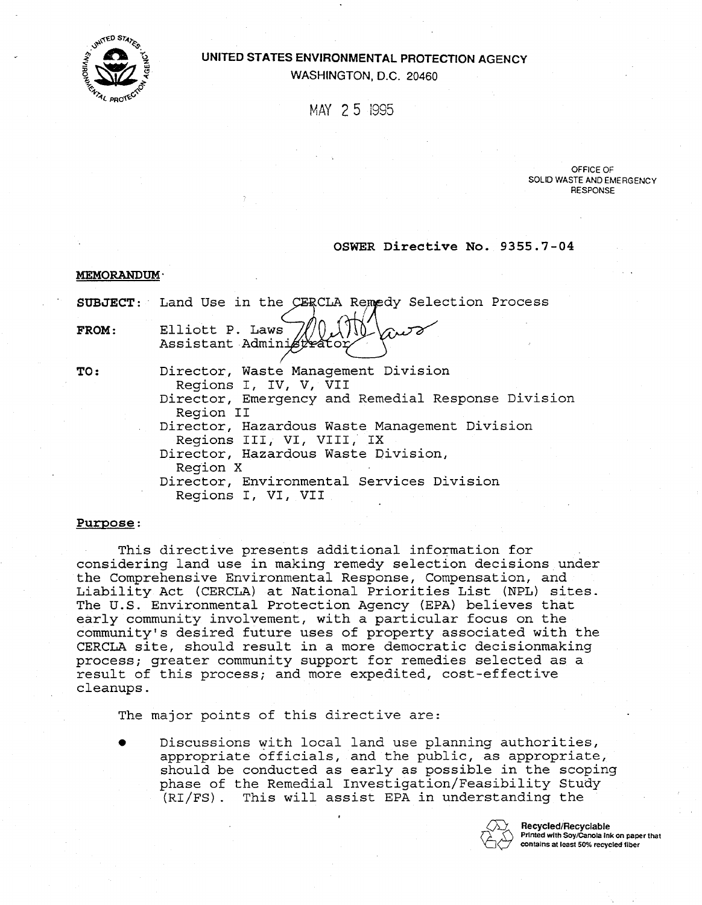

# . **UNITED STATES ENVIRONMENTAL PROTECTION AGENCY WASHINGTON, D.C. 20460**

MAY 25 1995

**OFFICE OF SOLID WASTE AND EMERGENCY RESPONSE** 

## OSWER Directive No. 9355.7-04

MEMORANDUM **"** 

|              | SUBJECT: Land Use in the CERCLA Remedy Selection Process                                                                                                                                         |
|--------------|--------------------------------------------------------------------------------------------------------------------------------------------------------------------------------------------------|
| <b>FROM:</b> | Elliott P. Laws<br>-Viro<br>Assistant Administrator                                                                                                                                              |
| <b>TO:</b>   | Director, Waste Management Division<br>Regions I, IV, V, VII<br>Director, Emergency and Remedial Response Division<br>Region II                                                                  |
|              | Director, Hazardous Waste Management Division<br>Regions III, VI, VIII, IX<br>Director, Hazardous Waste Division,<br>Region X<br>Director, Environmental Services Division<br>Regions I, VI, VII |

# <u>Purpose</u>:

This directive presents additional information for considering land use in making remedy selection decisions under the Comprehensive Environmental Response, Compensation, and Liability Act (CERCLA) at National Priorities List (NPL) sites. The U.S. Environmental Protection Agency (EPA) believes that early community involvement, with a particular focus on the community's desired future uses of property associated with the CERCLA site, should result in a more democratic decisionmaking process; greater community support for remedies selected as a result of this process; and more expedited, cost-effective cleanups.

The major points of this directive are:

Discussions with local land use planning authorities, appropriate officials, and the public, as appropriate, should be conducted as early as possible in the scoping phase of the Remedial Investigation/Feasibility Study (RI/FS). This will assist EPA in understanding the



m' **Recycled/Recyclable** Printed with Soy/Canola Ink on paper that contains at least 50% recycled fiber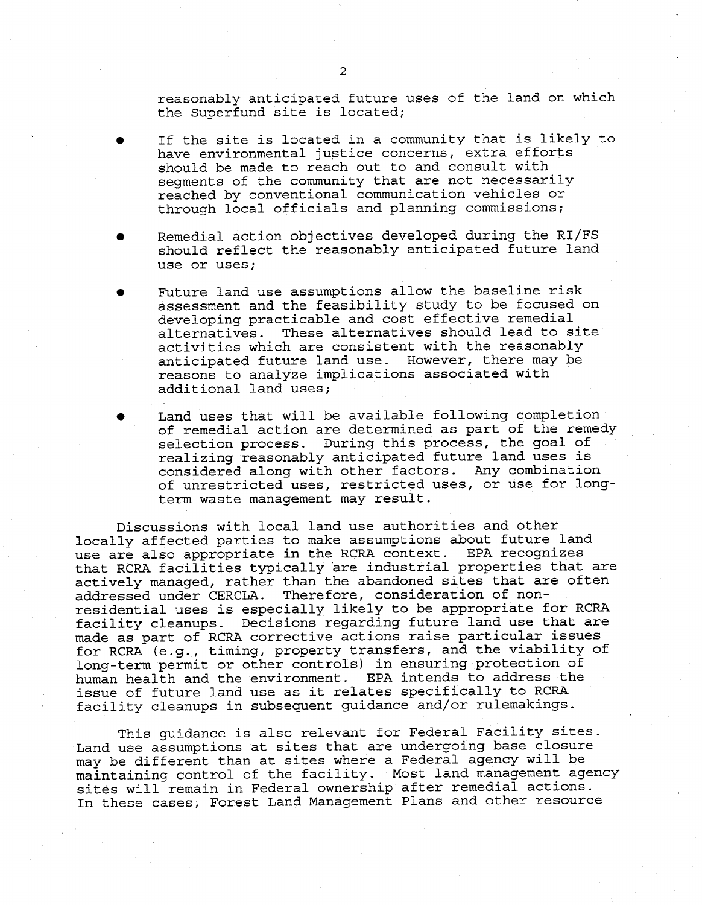reasonably anticipated future uses of the land on which the Superfund site is located;

- � If the site is located in a community that is likely to have environmental justice concerns, extra efforts should be made to reach out to and consult with segments of the community that are not necessarily reached by conventional communication vehicles or through local officials and planning commissions;
- � Remedial action objectives developed during the RI/FS should reflect the reasonably anticipated future land use or uses;
- Future land use assumptions allow the baseline risk assessment and the feasibility study to be focused on developing practicable and cost effective remedial<br>alternatives. These alternatives should lead to s alternatives. These alternatives should lead to site activities which are consistent with the reasonably anticipated future land use. However, there may be reasons to analyze implications associated with additional land uses;
- Land uses that will be available following completion of remedial action are determined as part of the remedy selection process. During this process, the goal of realizing reasonably anticipated future land uses is considered along with other factors. Any combination of unrestricted uses, restricted uses, or use for longterm waste management may result.

Discussions with local land use authorities and other locally affected parties to make assumptions about future land use are also appropriate in the RCRA context. EPA recognizes that RCRA facilities typically are industrial properties that are actively managed, rather than the abandoned sites that are often addressed under CERCLA. Therefore, consideration of non residential uses is especially likely to be appropriate for RCRA facility cleanups. Decisions regarding future land use that are made as part of RCRA corrective actions raise particular issues for RCRA (e.g., timing, property transfers, and the viability of long-term permit or other controls) in ensuring protection of human health and the environment. EPA intends to address the issue of future land use as it relates specifically to RCRA facility cleanups in subsequent guidance and/or rulemakings.

This guidance is also relevant for Federal Facility sites. Land use assumptions at sites that are undergoing base closure may be different than at sites where a Federal agency will be maintaining control of the facility. Most land management agency sites will remain in Federal ownership after remedial actions. In these cases, Forest Land Management Plans and other resource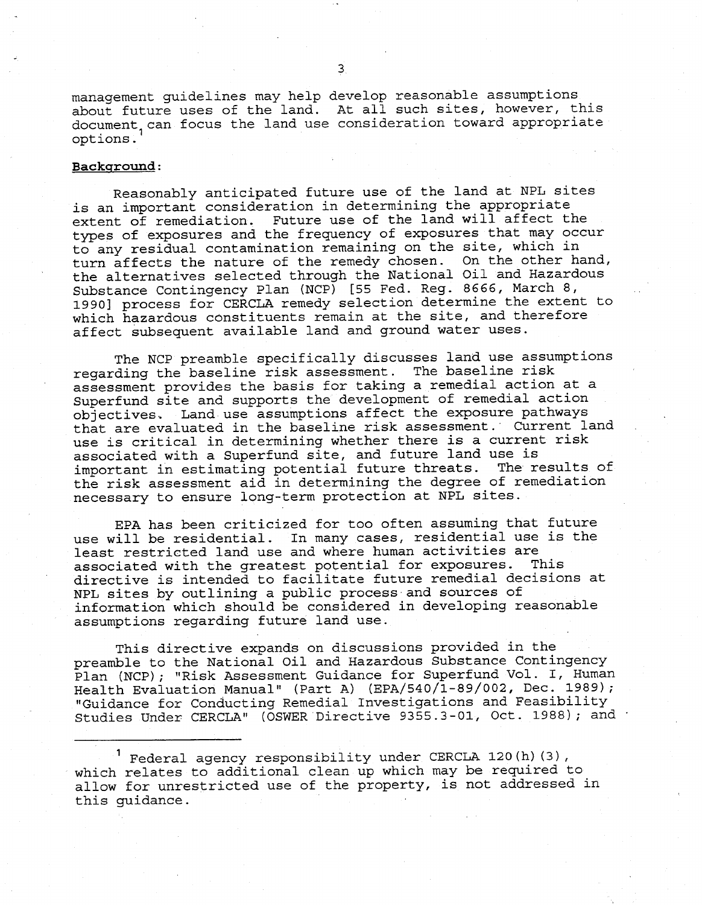management guidelines may help develop reasonable assumptions about future uses of the land. At all such sites, however, this document can focus the land use consideration toward appropriate options.

## Background:

Reasonably anticipated future use of the land at NPL sites is an important consideration in determining the appropriate extent of remediation. Future use of the land will affect the types of exposures and the frequency of exposures that may occur to any residual contamination remaining on the site, which in turn affects the nature of the remedy chosen. On the other hand, the alternatives selected through the National Oil and Hazardous Substance Contingency Plan (NCP) [55 Fed. Reg. 8666, March 8, 19901 process for CERCLA remedy selection determine the extent to which hazardous constituents remain at the site, and therefore affect subsequent available land and ground water uses.

The NCP preamble specifically discusses land use assumptions regarding the baseline risk assessment. The baseline risk assessment provides the basis for taking a remedial action at a Superfund site and supports the development of remedial action objectives.. Land.use assumptions affect the exposure pathways that are evaluated in the baseline risk assessment. Current land use is critical in determining whether there is a current risk associated with a Superfund site, and future land use is important in estimating potential future threats. The results of the risk assessment aid in determining the degree of remediation necessary to ensure long-term protection at NPL sites.

EPA has been criticized for too often assuming that future use will be residential. In many cases, residential use is the least restricted land use and where human activities are associated with the greatest potential for exposures. This directive is intended to facilitate future remedial decisions at NPL sites by outlining a public process and sources of information which should be considered in developing reasonable assumptions regarding future land use.

This directive expands on discussions provided in the preamble to the National Oil and Hazardous Substance Contingency Plan (NCP); "Risk Assessment Guidance for Superfund Vol. I, Human Health Evaluation Manual" (Part A) (EPA/540/l-89/002, Dec. 1989); "Guidance for Conducting Remedial Investigations and Feasibility Studies Under CERCLA" (OSWER Directive 9355.3-01, Oct. 1988); and 1

Federal agency responsibility under CERCLA 120(h) (3), which relates to additional clean up which may be required to allow for unrestricted use of the property, is not addressed in this guidance.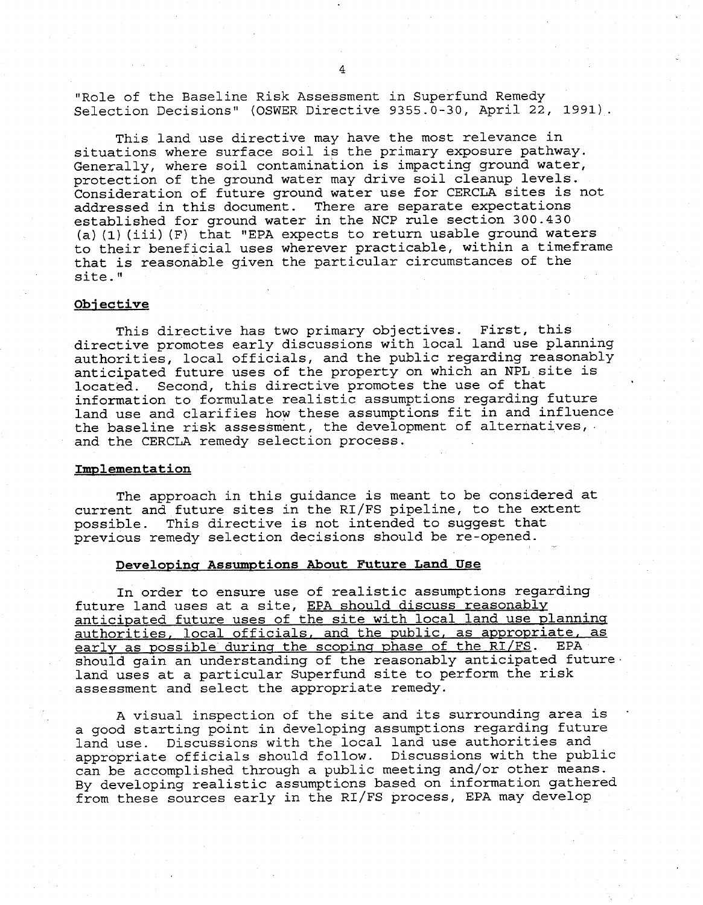"Role of the Baseline Risk Assessment in Superfund Remedy Selection Decisions" (OSWER Directive 9355.0-30, April 22, 1991).

This land use directive may have the most relevance in situations where surface soil is the primary exposure pathway. Generally, where soil contamination is impacting ground water, protection of the ground water may drive soil cleanup levels. Consideration of future ground water use for CERCLA sites is not addressed in this document. There are separate expectations established for ground water in the NCP rule section 300.430 (a)(1)(iii) (F) that "EPA expects to return usable ground waters to their beneficial uses wherever practicable, within a timeframe that is reasonable given the particular circumstances of the site. "

#### Objective

This directive has two primary objectives. First, this directive promotes early discussions with local land use planning authorities, local officials, and the public regarding reasonably anticipated future uses of the property on which an NPL site is<br>located. Second, this directive promotes the use of that . Second, this directive promotes the use of that information to formulate realistic assumptions regarding future land use and clarifies how these assumptions fit in and influence the baseline risk assessment, the development of alternatives, and the CERCLA remedy selection process.

#### Implementation

The approach in this guidance is meant to be considered at current and future sites in the RI/FS pipeline, to the extent possible. This directive is not intended to suggest that previcus remedy selection decisions should be re-opened.

#### Developing Assumptions About Future Land Use

In order to ensure use of realistic assumptions regarding future land uses at a site, EPA should discuss reasonably anticipated future uses of the site with local land use planninq authorities, local officials, and the public, as appropriate, as<br>early as possible during the scoping phase of the RI/FS. EPA should gain an understanding of the reasonably anticipated future. land uses at a particular Superfund site to perform the risk assessment and select the appropriate remedy.

A visual inspection of the site and its surrounding area is a good starting point in developing assumptions regarding future land use. Discussions with the local land use authorities and appropriate officials should follow. Discussions with the public can be accomplished through a public meeting and/or other means. By developing realistic assumptions based on information gathered from these sources early in the RI/FS process, EPA may develop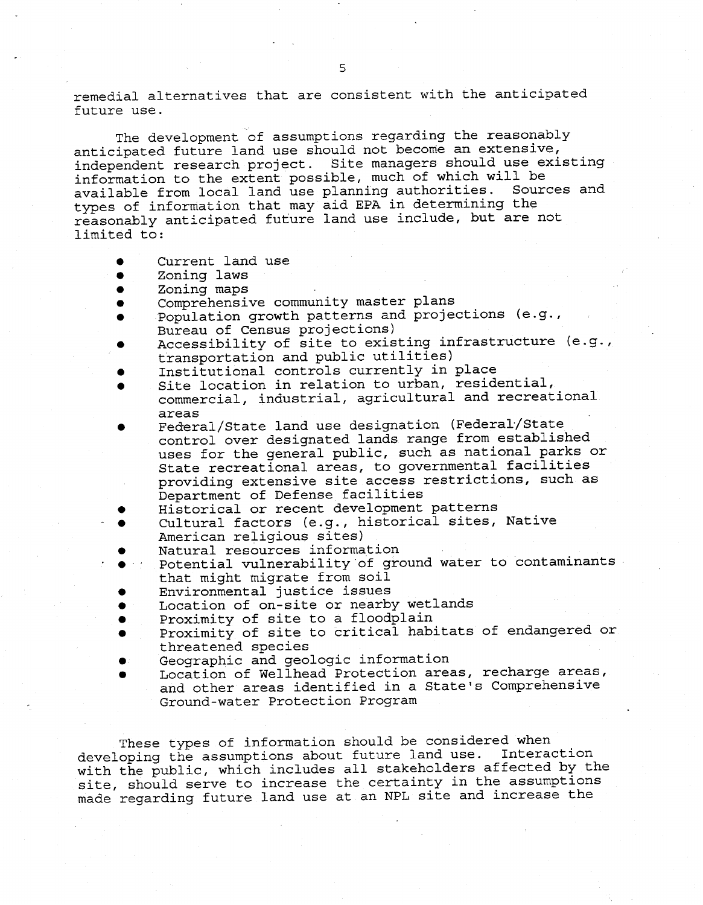remedial alternatives that are consistent with the anticipated future use.

The development of assumptions regarding the reasonably anticipated future land use should not become an extensive, independent research project. Site managers should use existing information to the extent possible, much of which will be available from local land use planning authorities. Sources and types of information that may aid EPA in determining the reasonably anticipated future land use include, but are not limited to:

- Current land use
- Zoning laws
- Zoning maps
- Comprehensive community master plans
- Population growth patterns and projections (e.g., Bureau of Census projections)
- Accessibility of site to existing infrastructure (e.g., transportation and public utilities)
- Institutional controls currently in place
- Site location in relation to urban, residential, commercial, industrial, agricultural and recreational areas
- � Federal/State land use designation (Federal/State control over designated lands range from established uses for the general public, such as national parks or State recreational areas, to governmental facilities providing extensive site access restrictions, such as Department of Defense facilities
- Historical or recent development patterns
- Cultural factors (e.g., historical sites, Native American religious sites)
- Natural resources information
- Potential vulnerability of ground water to contaminants that might migrate from soil
- Environmental justice issues
- Location of on-site or nearby wetlands
- $\bullet$ Proximity of site to a floodplain
- Proximity of site to critical habitats of endangered or threatened species
- Geographic and geologic information
- Location of Wellhead Protection areas, recharge areas, and other areas identified in a State's Comprehensive Ground-water Protection Program

These types of information should be considered when developing the assumptions about future land use. Interaction with the public, which includes all stakeholders affected by the site, should serve to increase the certainty in the assumptions made regarding future land use at an NPL site and increase the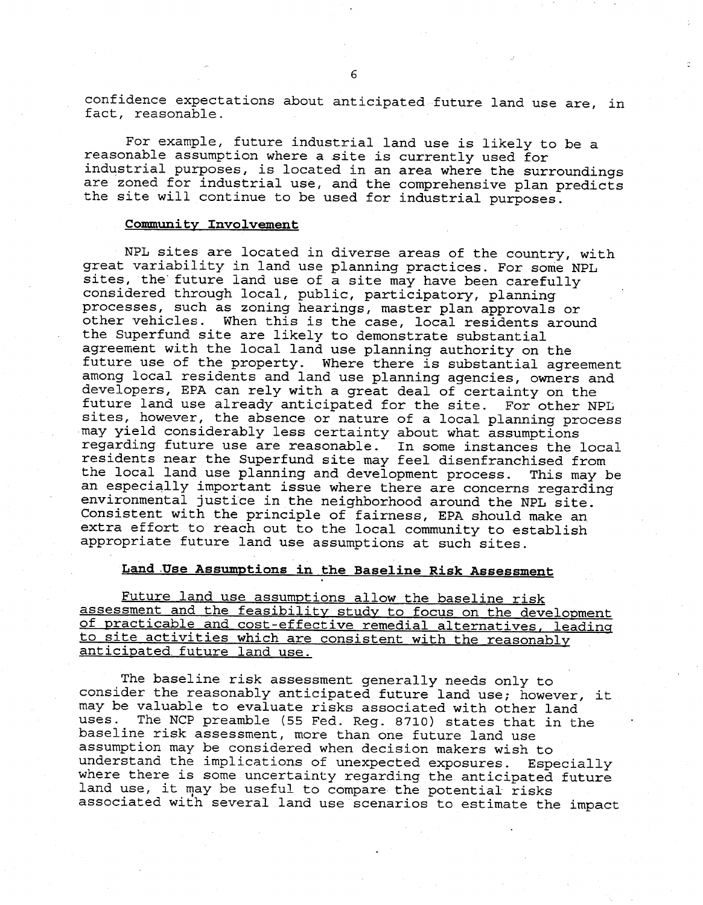confidence expectations about anticipated future land use are, in fact, reasonable.

For example, future industrial land use is likely to be a reasonable assumption where a site is currently used for industrial purposes, is located in an area where the surroundings are zoned for industrial use, and the comprehensive plan predicts the site will continue to be used for industrial purposes.

# Community Involvement

NPL sites are located in diverse areas of the country, with great variability in land use planning practices. For some NPL sites, the' future land use of a site may have been carefully considered through local, public, participatory, planning processes, such as zoning hearings, master plan approvals or other vehicles. When this is the case, local residents around the Superfund site are likely to demonstrate substantial agreement with the local land use planning authority on the future use of the property. Where there is substantial agreement among local residents and land use planning agencies, owners and developers, EPA can rely with a great deal of certainty on the future land use already anticipated for the site. For other NPL sites, however, the absence or nature of a local planning process may yield considerably less certainty about what assumptions regarding future use are reasonable. In some instances the local residents near the Superfund site may feel disenfranchised from the local land use planning and development process. This may be an especially important issue where there are concerns regarding environmental justice in the neighborhood around the NPL site. Consistent with the principle of fairness, EPA should make an extra effort to reach out to the local community to establish appropriate future land use assumptions at such sites.

## Land Use Assumptions in the Baseline Risk Assessment

Future land use assumptions allow the baseline risk assessment and the feasibility study to focus on the development of practicable and cost-effective remedial alternatives, leadinq to site activities which are consistent with the reasonably anticipated. future land use.

The baseline risk assessment generally needs only to consider the reasonably anticipated future land use; however, it may be valuable to evaluate risks associated with other land uses. The NCP preamble (55 Fed. Reg. 8710) states that in the baseline risk assessment, more than one future land use assumption may be considered when decision makers wish to understand the implications of unexpected exposures. Especially where there is some uncertainty regarding the anticipated future land use, it may be useful to compare the potential risks associated with several land use scenarios to estimate the impact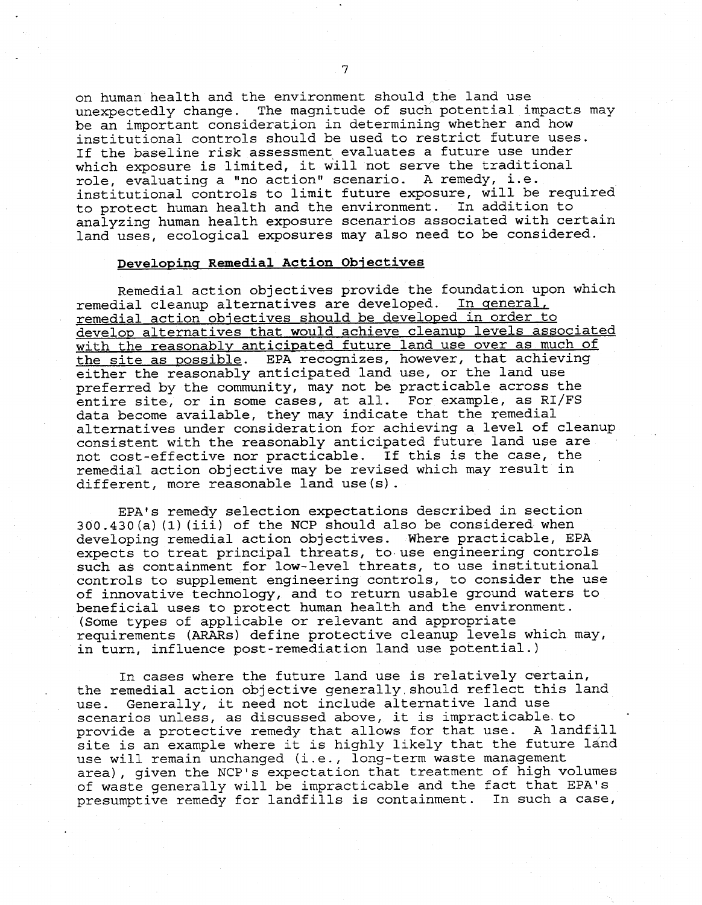on human health and the environment should the land use unexpectedly change. The magnitude of such potential impacts may be an important consideration in determining whether and how institutional controls should be used to restrict future uses. If the baseline risk assessment evaluates a future use under which exposure is limited, it will not serve the traditional role, evaluating a "no action" scenario. A remedy, i.e. institutional controls to limit future exposure, will be required to protect human health and the environment. In addition to analyzing human health exposure scenarios associated with certain land uses, ecological exposures may also need to be considered.

#### Developing Remedial Action Objectives

Remedial action objectives provide the foundation upon which remedial cleanup alternatives are developed. In general, remedial action objectives should be developed in order to develop alternatives that would achieve cleanup levels associated with the reasonably anticipated future land use over as much of the site as possible. EPA recognizes, however, that achieving either the reasonably anticipated land use, or the land use preferred by the community, may not be practicable across the entire site, or in some cases, at all. For example, as RI/FS data become available, they may indicate that the remedial alternatives under consideration for achieving a,level of cleanup consistent with the reasonably anticipated future land use are not cost-effective nor practicable. If this is the case, the remedial action objective may be revised which may result in different, more reasonable land use(s) .

EPA's remedy selection expectations described in section 300.430(a) (1)(iii) of the NCP should also be considered when developing remedial action objectives. Where practicable, EPA expects to treat principal threats, to use engineering controls such as containment for low-level threats, to use institutional controls to supplement engineering controls, to consider the use of innovative technology, and to return usable ground waters to beneficial uses to protect human health and the environment. (Some types of applicable or relevant and appropriate requirements (ARARS) define protective cleanup levels which may, in turn, influence post-remediation land use potential.)

In cases where the future land use is relatively certain, the remedial action objective generally, should reflect this land use. Generally, it need not include alternative land use scenarios unless, as discussed above, it is impracticable. to provide a protective remedy that allows for that use. A landfill site is an example where it is highly likely that the future land use will remain unchanged. (i.e., long-term waste management area) , given the NCP'S expectation that treatment of high volumes of waste generally will be impracticable and the fact that EPA's presumptive remedy for landfills is containment. In such a case,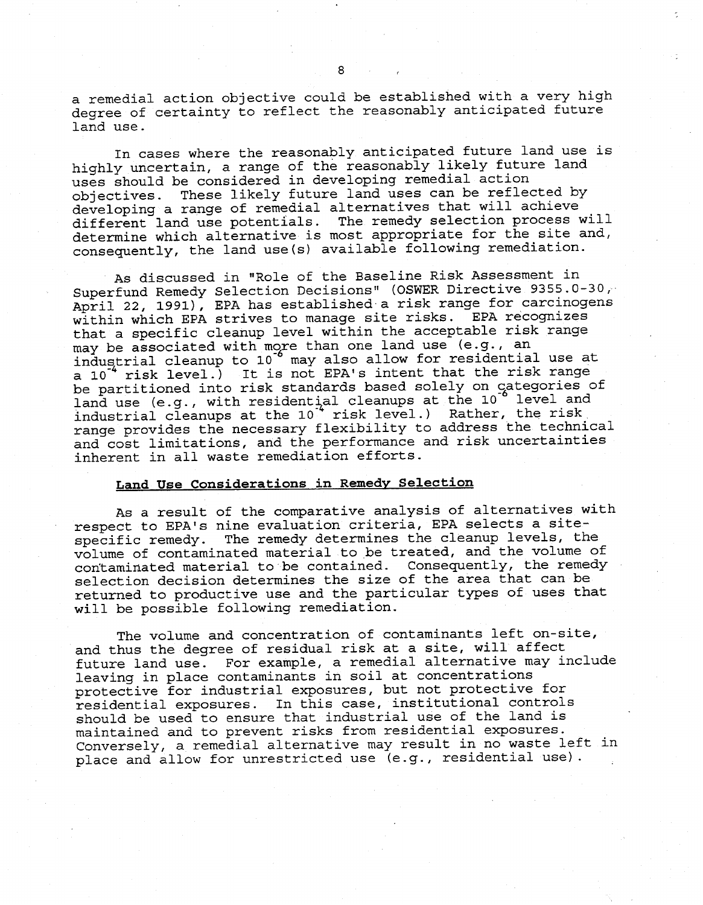a remedial action objective could be established with a very high degree of certainty to reflect the reasonably anticipated future land use.

In cases where the reasonably anticipated future land use is highly uncertain, a range of the reasonably likely future land uses should be considered in developing remedial action objectives. These likely future land uses can be reflected by developing a range of remedial alternatives that will achieve different land use potentials. The remedy selection process will determine which alternative is most appropriate for the site and, consequently, the land use(s) available following remediation.

As discussed in "Role of the Baseline Risk Assessment in Superfund Remedy Selection Decisions" (OSWER Directive 9355.0-30; April 22, 1991), EPA has established a risk range for carcinogens within which EPA strives to manage site risks. EPA recognizes that a specific cleanup level within the acceptable risk range may be associated with more than one land use (e.g., an industrial cleanup to 10 may also allow for residential use at a 10<sup>\*</sup> risk level.) It is not EPA's intent that the risk range be partitioned into risk standards based solely on categories of land use (e.g., with residential cleanups at the 10 level and industrial cleanups at the 10<sup>4</sup> risk level.) Rather, the risk range provides the necessary flexibility to address 'the technical and cost limitations, and the performance and risk uncertainties inherent in all waste remediation efforts.

# Land Use Considerations in Remedv Selection

As a result of the comparative analysis of alternatives with respect to EPA's nine evaluation criteria, EPA selects a sitespecific remedy. The remedy determines the cleanup levels, the volume of contaminated material to be treated, and the volume of contaminated material to be contained. Consequently, the remedy selection decision determines the size of the area that can be returned to productive use and the particular types of uses that will be possible following remediation.

The volume and concentration of contaminants left on-site, and thus the degree of residual risk at a site, will affect future land use. For example, a remedial alternative may include leaving in place contaminants in soil at concentrations protective for industrial exposures, but not protective for residential exposures. In this case, institutional controls should be used to ensure that industrial use of the land is maintained and to prevent risks from residential exposures. Conversely, a remedial alternative may result in no waste left in place and allow for unrestricted use (e.g., residential use).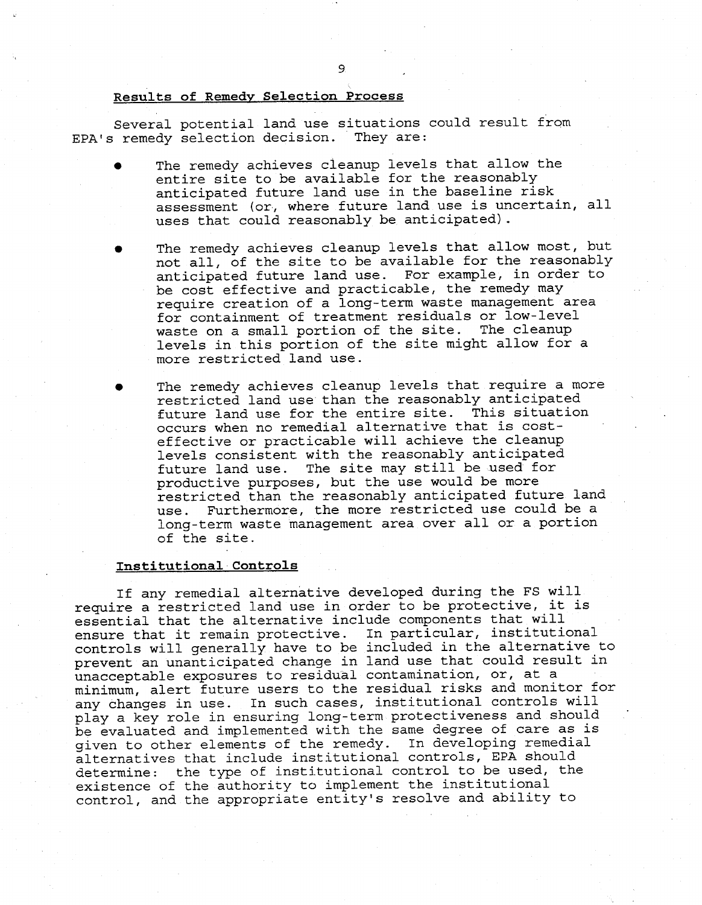# Results of Remedy Selection Process

Several potential land use situations could result from EPA's remedy selection decision. They are:

- The remedy achieves cleanup levels that allow the entire site to be available for the reasonably anticipated future land use in the baseline risk assessment (or, where future land use is uncertain, all uses that could reasonably be anticipated) .
- The remedy achieves cleanup levels that allow most, but not all, of the site to be available for the reasonably anticipated future land use. For example, in order to be cost effective and practicable, the remedy may require creation of a long-term waste management area for containment of treatment residuals or low-level waste on a small portion of the site. The cleanup levels in this portion of the site might allow for a more restricted land use.
- The remedy achieves cleanup levels that require a more restricted land use than the reasonably anticipated future land use for the entire site. This situation occurs when no remedial alternative that is cost effective or practicable will achieve the cleanup levels consistent with the reasonably anticipated future land use. The site may still be used for productive purposes, but the use would be more restricted than the reasonably anticipated future land use. Furthermore, the more restricted use could be a long-term waste management area over all or a portion of the site.

# Institutional Controls

If any remedial alternative developed during the FS will require a restricted land use in order to be protective, it is essential that the alternative include components that will ensure that it remain protective. In particular, institutional controls will generally have to be included in the alternative to prevent an unanticipated change in land use that could result in unacceptable exposures to residual contamination, or, at a minimum, alert future users to the residual risks and monitor for any changes in use. In such cases, institutional controls will play a key role in ensuring long-term protectiveness and should be evaluated and implemented with the same degree of care as is given to other elements of the remedy. In developing remedial alternatives that include institutional controls, EPA should determine: the type of institutional control to be used, the existence of the authority to implement the institutional control, and the appropriate entity's resolve and ability to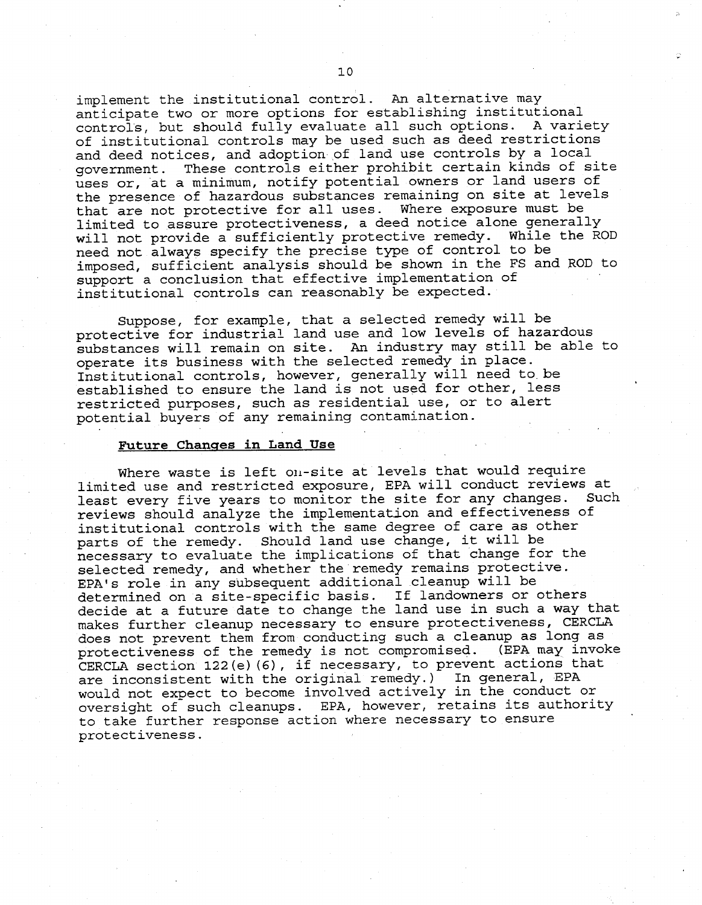implement the institutional control. An alternative may anticipate two or more options for establishing institutional control's, but should fully evaluate all such options. A variety of institutional controls may be used such as deed restrictions and deed notices, and adoption of land use controls by a local government. These controls either prohibit certain kinds of site uses or, "at a minimum, notify potential owners or land users of the presence of hazardous substances remaining on site at levels that are not protective for all uses. Where exposure must be limited to assure protectiveness, a deed notice alone generally will not provide a sufficiently protective remedy. While the ROD need not always specify the precise type of control to be imposed, sufficient analysis should be shown in the FS and ROD to support a conclusion that effective implementation of institutional controls can reasonably be expected.

Suppose, for example, that a selected remedy will be protective for industrial land use and low levels of hazardous substances will remain on site. An industry may still be able to operate its business with the selected remedy in place. Institutional controls, however, generally will need to.be established to ensure the land is not used for other, less restricted purposes, such as residential use, or to alert potential buyers of any remaining contamination.

## <u>Future Changes in Land Use</u>

Where waste is left on-site at levels that would require limited use and restricted exposure, EPA will conduct reviews at least every five years to monitor the site for any changes. Such reviews should analyze the implementation and effectiveness of institutional controls with the same degree of care as other parts of the remedy. Should land use change, it will be necessary to evaluate the implications of that change for the selected remedy, and whether the remedy remains protective. EPA's role in any subsequent additional cleanup will be determined on a site-specific basis. If landowners or others decide at a future date to change the land use in such a way that makes further cleanup necessary to ensure protectiveness, CERCLA does not prevent them from conducting such a cleanup as long as protectiveness of the remedy is not compromised. (EPA may invoke CERCLA section 122(e)(6), if necessary, to prevent actions that are inconsistent with the original remedy.) In general, EPA would not expect to become involved actively in the conduct or oversight of such cleanups. EPA, however, retains its authority to take further response action where necessary to ensure protectiveness.